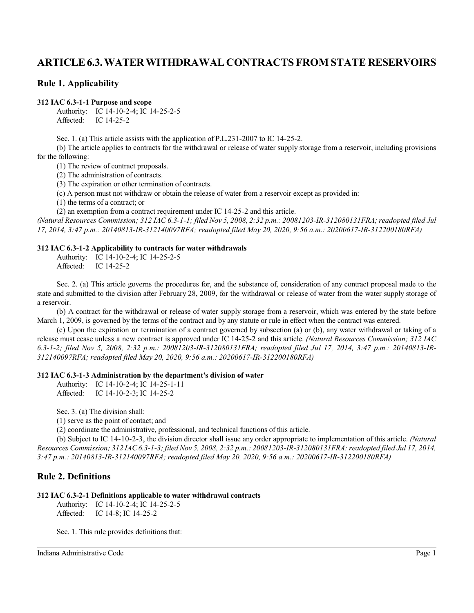# **ARTICLE6.3.WATERWITHDRAWAL CONTRACTS FROM STATE RESERVOIRS**

### **Rule 1. Applicability**

#### **312 IAC 6.3-1-1 Purpose and scope**

Authority: IC 14-10-2-4; IC 14-25-2-5 Affected: IC 14-25-2

Sec. 1. (a) This article assists with the application of P.L.231-2007 to IC 14-25-2.

(b) The article applies to contracts for the withdrawal or release of water supply storage from a reservoir, including provisions for the following:

(1) The review of contract proposals.

(2) The administration of contracts.

(3) The expiration or other termination of contracts.

(c) A person must not withdraw or obtain the release of water from a reservoir except as provided in:

(1) the terms of a contract; or

(2) an exemption from a contract requirement under IC 14-25-2 and this article.

*(Natural Resources Commission; 312 IAC 6.3-1-1; filed Nov 5, 2008, 2:32 p.m.: 20081203-IR-312080131FRA; readopted filed Jul 17, 2014, 3:47 p.m.: 20140813-IR-312140097RFA; readopted filed May 20, 2020, 9:56 a.m.: 20200617-IR-312200180RFA)*

#### **312 IAC 6.3-1-2 Applicability to contracts for water withdrawals**

Authority: IC 14-10-2-4; IC 14-25-2-5 Affected: IC 14-25-2

Sec. 2. (a) This article governs the procedures for, and the substance of, consideration of any contract proposal made to the state and submitted to the division after February 28, 2009, for the withdrawal or release of water from the water supply storage of a reservoir.

(b) A contract for the withdrawal or release of water supply storage from a reservoir, which was entered by the state before March 1, 2009, is governed by the terms of the contract and by any statute or rule in effect when the contract was entered.

(c) Upon the expiration or termination of a contract governed by subsection (a) or (b), any water withdrawal or taking of a release must cease unless a new contract is approved under IC 14-25-2 and this article. *(Natural Resources Commission; 312 IAC 6.3-1-2; filed Nov 5, 2008, 2:32 p.m.: 20081203-IR-312080131FRA; readopted filed Jul 17, 2014, 3:47 p.m.: 20140813-IR-312140097RFA; readopted filed May 20, 2020, 9:56 a.m.: 20200617-IR-312200180RFA)*

#### **312 IAC 6.3-1-3 Administration by the department's division of water**

Authority: IC 14-10-2-4; IC 14-25-1-11 Affected: IC 14-10-2-3; IC 14-25-2

Sec. 3. (a) The division shall:

(1) serve as the point of contact; and

(2) coordinate the administrative, professional, and technical functions of this article.

(b) Subject to IC 14-10-2-3, the division director shall issue any order appropriate to implementation of this article. *(Natural Resources Commission; 312 IAC6.3-1-3; filed Nov 5, 2008, 2:32 p.m.: 20081203-IR-312080131FRA; readopted filed Jul 17, 2014, 3:47 p.m.: 20140813-IR-312140097RFA; readopted filed May 20, 2020, 9:56 a.m.: 20200617-IR-312200180RFA)*

# **Rule 2. Definitions**

#### **312 IAC 6.3-2-1 Definitions applicable to water withdrawal contracts**

Authority: IC 14-10-2-4; IC 14-25-2-5 Affected: IC 14-8; IC 14-25-2

Sec. 1. This rule provides definitions that: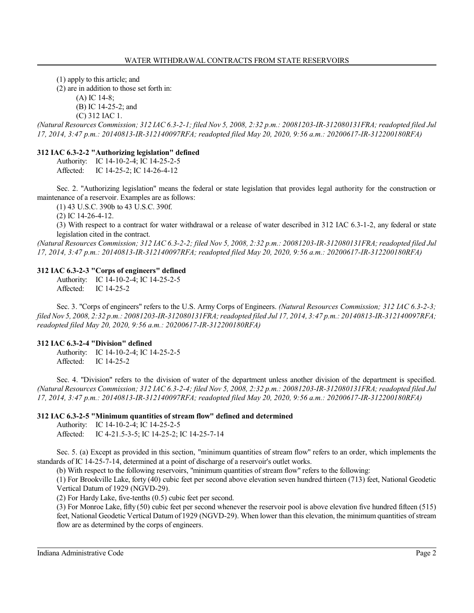(1) apply to this article; and

(2) are in addition to those set forth in:

(A) IC 14-8;

(B) IC 14-25-2; and

(C) 312 IAC 1.

*(Natural Resources Commission; 312 IAC 6.3-2-1; filed Nov 5, 2008, 2:32 p.m.: 20081203-IR-312080131FRA; readopted filed Jul 17, 2014, 3:47 p.m.: 20140813-IR-312140097RFA; readopted filed May 20, 2020, 9:56 a.m.: 20200617-IR-312200180RFA)*

#### **312 IAC 6.3-2-2 "Authorizing legislation" defined**

Authority: IC 14-10-2-4; IC 14-25-2-5 Affected: IC 14-25-2; IC 14-26-4-12

Sec. 2. "Authorizing legislation" means the federal or state legislation that provides legal authority for the construction or maintenance of a reservoir. Examples are as follows:

(1) 43 U.S.C. 390b to 43 U.S.C. 390f.

(2) IC 14-26-4-12.

(3) With respect to a contract for water withdrawal or a release of water described in 312 IAC 6.3-1-2, any federal or state legislation cited in the contract.

*(Natural Resources Commission; 312 IAC 6.3-2-2; filed Nov 5, 2008, 2:32 p.m.: 20081203-IR-312080131FRA; readopted filed Jul 17, 2014, 3:47 p.m.: 20140813-IR-312140097RFA; readopted filed May 20, 2020, 9:56 a.m.: 20200617-IR-312200180RFA)*

#### **312 IAC 6.3-2-3 "Corps of engineers" defined**

Authority: IC 14-10-2-4; IC 14-25-2-5 Affected: IC 14-25-2

Sec. 3. "Corps of engineers" refers to the U.S. Army Corps of Engineers. *(Natural Resources Commission; 312 IAC 6.3-2-3; filed Nov 5, 2008, 2:32 p.m.: 20081203-IR-312080131FRA; readopted filed Jul 17, 2014, 3:47 p.m.: 20140813-IR-312140097RFA; readopted filed May 20, 2020, 9:56 a.m.: 20200617-IR-312200180RFA)*

#### **312 IAC 6.3-2-4 "Division" defined**

Authority: IC 14-10-2-4; IC 14-25-2-5 Affected: IC 14-25-2

Sec. 4. "Division" refers to the division of water of the department unless another division of the department is specified. *(Natural Resources Commission; 312 IAC 6.3-2-4; filed Nov 5, 2008, 2:32 p.m.: 20081203-IR-312080131FRA; readopted filed Jul 17, 2014, 3:47 p.m.: 20140813-IR-312140097RFA; readopted filed May 20, 2020, 9:56 a.m.: 20200617-IR-312200180RFA)*

#### **312 IAC 6.3-2-5 "Minimum quantities of stream flow" defined and determined**

Authority: IC 14-10-2-4; IC 14-25-2-5 Affected: IC 4-21.5-3-5; IC 14-25-2; IC 14-25-7-14

Sec. 5. (a) Except as provided in this section, "minimum quantities of stream flow" refers to an order, which implements the standards of IC 14-25-7-14, determined at a point of discharge of a reservoir's outlet works.

(b) With respect to the following reservoirs, "minimum quantities of stream flow" refers to the following:

(1) For Brookville Lake, forty (40) cubic feet per second above elevation seven hundred thirteen (713) feet, National Geodetic Vertical Datum of 1929 (NGVD-29).

(2) For Hardy Lake, five-tenths (0.5) cubic feet per second.

(3) For Monroe Lake, fifty (50) cubic feet per second whenever the reservoir pool is above elevation five hundred fifteen (515) feet, National Geodetic Vertical Datum of 1929 (NGVD-29). When lower than this elevation, the minimum quantities of stream flow are as determined by the corps of engineers.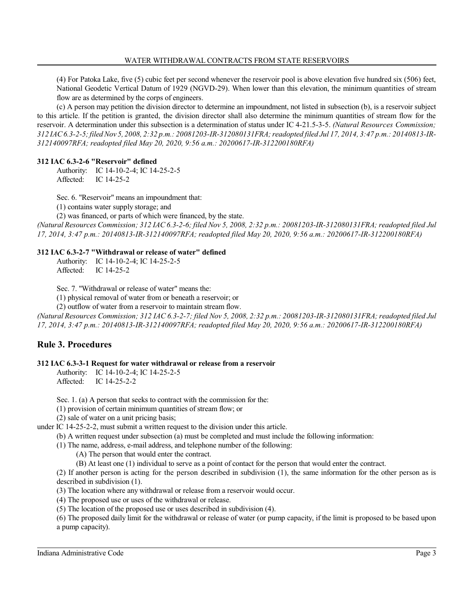(4) For Patoka Lake, five (5) cubic feet per second whenever the reservoir pool is above elevation five hundred six (506) feet, National Geodetic Vertical Datum of 1929 (NGVD-29). When lower than this elevation, the minimum quantities of stream flow are as determined by the corps of engineers.

(c) A person may petition the division director to determine an impoundment, not listed in subsection (b), is a reservoir subject to this article. If the petition is granted, the division director shall also determine the minimum quantities of stream flow for the reservoir. A determination under this subsection is a determination of status under IC 4-21.5-3-5. *(Natural Resources Commission; 312 IAC6.3-2-5; filed Nov 5, 2008, 2:32 p.m.: 20081203-IR-312080131FRA; readopted filed Jul 17, 2014, 3:47 p.m.: 20140813-IR-312140097RFA; readopted filed May 20, 2020, 9:56 a.m.: 20200617-IR-312200180RFA)*

### **312 IAC 6.3-2-6 "Reservoir" defined**

Authority: IC 14-10-2-4; IC 14-25-2-5 Affected: IC 14-25-2

Sec. 6. "Reservoir" means an impoundment that:

(1) contains water supply storage; and

(2) was financed, or parts of which were financed, by the state.

*(Natural Resources Commission; 312 IAC6.3-2-6; filed Nov 5, 2008, 2:32 p.m.: 20081203-IR-312080131FRA; readopted filed Jul 17, 2014, 3:47 p.m.: 20140813-IR-312140097RFA; readopted filed May 20, 2020, 9:56 a.m.: 20200617-IR-312200180RFA)*

### **312 IAC 6.3-2-7 "Withdrawal or release of water" defined**

Authority: IC 14-10-2-4; IC 14-25-2-5 Affected: IC 14-25-2

Sec. 7. "Withdrawal or release of water" means the:

(1) physical removal of water from or beneath a reservoir; or

(2) outflow of water from a reservoir to maintain stream flow.

*(Natural Resources Commission; 312 IAC 6.3-2-7; filed Nov 5, 2008, 2:32 p.m.: 20081203-IR-312080131FRA; readopted filed Jul 17, 2014, 3:47 p.m.: 20140813-IR-312140097RFA; readopted filed May 20, 2020, 9:56 a.m.: 20200617-IR-312200180RFA)*

# **Rule 3. Procedures**

#### **312 IAC 6.3-3-1 Request for water withdrawal or release from a reservoir**

Authority: IC 14-10-2-4; IC 14-25-2-5 Affected: IC 14-25-2-2

Sec. 1. (a) A person that seeks to contract with the commission for the:

(1) provision of certain minimum quantities of stream flow; or

(2) sale of water on a unit pricing basis;

under IC 14-25-2-2, must submit a written request to the division under this article.

(b) A written request under subsection (a) must be completed and must include the following information:

(1) The name, address, e-mail address, and telephone number of the following:

(A) The person that would enter the contract.

(B) At least one (1) individual to serve as a point of contact for the person that would enter the contract.

(2) If another person is acting for the person described in subdivision (1), the same information for the other person as is described in subdivision (1).

(3) The location where any withdrawal or release from a reservoir would occur.

(4) The proposed use or uses of the withdrawal or release.

(5) The location of the proposed use or uses described in subdivision (4).

(6) The proposed daily limit for the withdrawal or release of water (or pump capacity, if the limit is proposed to be based upon a pump capacity).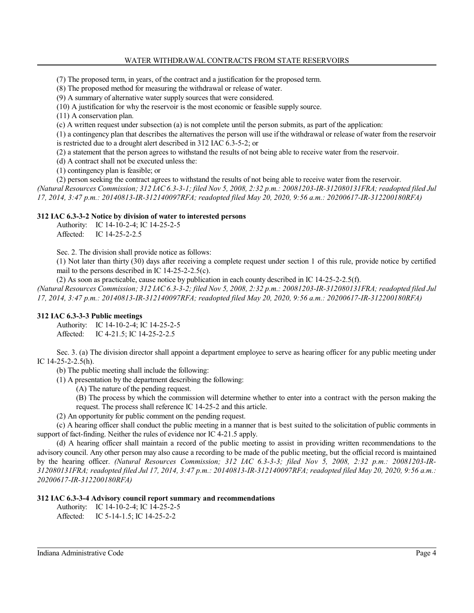#### WATER WITHDRAWAL CONTRACTS FROM STATE RESERVOIRS

(7) The proposed term, in years, of the contract and a justification for the proposed term.

(8) The proposed method for measuring the withdrawal or release of water.

(9) A summary of alternative water supply sources that were considered.

(10) A justification for why the reservoir is the most economic or feasible supply source.

(11) A conservation plan.

(c) A written request under subsection (a) is not complete until the person submits, as part of the application:

(1) a contingency plan that describes the alternatives the person will use if the withdrawal or release of water from the reservoir is restricted due to a drought alert described in 312 IAC 6.3-5-2; or

(2) a statement that the person agrees to withstand the results of not being able to receive water from the reservoir.

(d) A contract shall not be executed unless the:

(1) contingency plan is feasible; or

(2) person seeking the contract agrees to withstand the results of not being able to receive water from the reservoir. *(Natural Resources Commission; 312 IAC6.3-3-1; filed Nov 5, 2008, 2:32 p.m.: 20081203-IR-312080131FRA; readopted filed Jul 17, 2014, 3:47 p.m.: 20140813-IR-312140097RFA; readopted filed May 20, 2020, 9:56 a.m.: 20200617-IR-312200180RFA)*

#### **312 IAC 6.3-3-2 Notice by division of water to interested persons**

Authority: IC 14-10-2-4; IC 14-25-2-5 Affected: IC 14-25-2-2.5

Sec. 2. The division shall provide notice as follows:

(1) Not later than thirty (30) days after receiving a complete request under section 1 of this rule, provide notice by certified mail to the persons described in IC 14-25-2-2.5(c).

(2) As soon as practicable, cause notice by publication in each county described in IC 14-25-2-2.5(f). *(Natural Resources Commission; 312 IAC6.3-3-2; filed Nov 5, 2008, 2:32 p.m.: 20081203-IR-312080131FRA; readopted filed Jul 17, 2014, 3:47 p.m.: 20140813-IR-312140097RFA; readopted filed May 20, 2020, 9:56 a.m.: 20200617-IR-312200180RFA)*

#### **312 IAC 6.3-3-3 Public meetings**

Authority: IC 14-10-2-4; IC 14-25-2-5 Affected: IC 4-21.5; IC 14-25-2-2.5

Sec. 3. (a) The division director shall appoint a department employee to serve as hearing officer for any public meeting under IC 14-25-2-2.5(h).

(b) The public meeting shall include the following:

(1) A presentation by the department describing the following:

(A) The nature of the pending request.

(B) The process by which the commission will determine whether to enter into a contract with the person making the request. The process shall reference IC 14-25-2 and this article.

(2) An opportunity for public comment on the pending request.

(c) A hearing officer shall conduct the public meeting in a manner that is best suited to the solicitation of public comments in support of fact-finding. Neither the rules of evidence nor IC 4-21.5 apply.

(d) A hearing officer shall maintain a record of the public meeting to assist in providing written recommendations to the advisory council. Any other person may also cause a recording to be made of the public meeting, but the official record is maintained by the hearing officer. *(Natural Resources Commission; 312 IAC 6.3-3-3; filed Nov 5, 2008, 2:32 p.m.: 20081203-IR-312080131FRA; readopted filed Jul 17, 2014, 3:47 p.m.: 20140813-IR-312140097RFA; readopted filed May 20, 2020, 9:56 a.m.: 20200617-IR-312200180RFA)*

#### **312 IAC 6.3-3-4 Advisory council report summary and recommendations**

Authority: IC 14-10-2-4; IC 14-25-2-5

Affected: IC 5-14-1.5; IC 14-25-2-2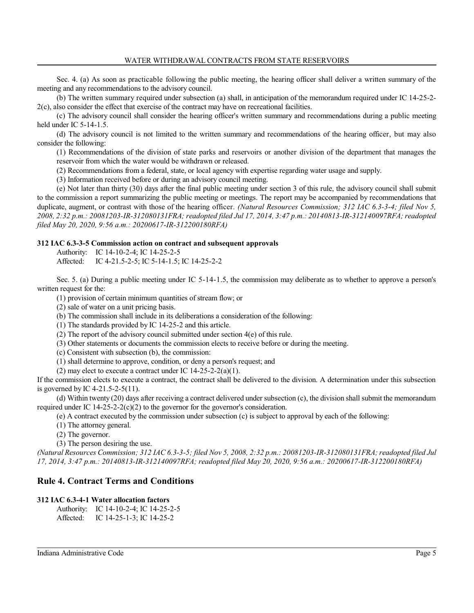Sec. 4. (a) As soon as practicable following the public meeting, the hearing officer shall deliver a written summary of the meeting and any recommendations to the advisory council.

(b) The written summary required under subsection (a) shall, in anticipation of the memorandum required under IC 14-25-2- 2(c), also consider the effect that exercise of the contract may have on recreational facilities.

(c) The advisory council shall consider the hearing officer's written summary and recommendations during a public meeting held under IC 5-14-1.5.

(d) The advisory council is not limited to the written summary and recommendations of the hearing officer, but may also consider the following:

(1) Recommendations of the division of state parks and reservoirs or another division of the department that manages the reservoir from which the water would be withdrawn or released.

(2) Recommendations from a federal, state, or local agency with expertise regarding water usage and supply.

(3) Information received before or during an advisory council meeting.

(e) Not later than thirty (30) days after the final public meeting under section 3 of this rule, the advisory council shall submit to the commission a report summarizing the public meeting or meetings. The report may be accompanied by recommendations that duplicate, augment, or contrast with those of the hearing officer. *(Natural Resources Commission; 312 IAC 6.3-3-4; filed Nov 5, 2008, 2:32 p.m.: 20081203-IR-312080131FRA; readopted filed Jul 17, 2014, 3:47 p.m.: 20140813-IR-312140097RFA; readopted filed May 20, 2020, 9:56 a.m.: 20200617-IR-312200180RFA)*

#### **312 IAC 6.3-3-5 Commission action on contract and subsequent approvals**

Authority: IC 14-10-2-4; IC 14-25-2-5

Affected: IC 4-21.5-2-5; IC 5-14-1.5; IC 14-25-2-2

Sec. 5. (a) During a public meeting under IC 5-14-1.5, the commission may deliberate as to whether to approve a person's written request for the:

(1) provision of certain minimum quantities of stream flow; or

(2) sale of water on a unit pricing basis.

(b) The commission shall include in its deliberations a consideration of the following:

(1) The standards provided by IC 14-25-2 and this article.

(2) The report of the advisory council submitted under section 4(e) of this rule.

(3) Other statements or documents the commission elects to receive before or during the meeting.

(c) Consistent with subsection (b), the commission:

(1) shall determine to approve, condition, or deny a person's request; and

(2) may elect to execute a contract under IC  $14-25-2-2(a)(1)$ .

If the commission elects to execute a contract, the contract shall be delivered to the division. A determination under this subsection is governed by IC 4-21.5-2-5(11).

(d) Within twenty (20) days after receiving a contract delivered under subsection (c), the division shall submit the memorandum required under IC 14-25-2-2(c)(2) to the governor for the governor's consideration.

(e) A contract executed by the commission under subsection (c) is subject to approval by each of the following:

(1) The attorney general.

(2) The governor.

(3) The person desiring the use.

*(Natural Resources Commission; 312 IAC 6.3-3-5; filed Nov 5, 2008, 2:32 p.m.: 20081203-IR-312080131FRA; readopted filed Jul 17, 2014, 3:47 p.m.: 20140813-IR-312140097RFA; readopted filed May 20, 2020, 9:56 a.m.: 20200617-IR-312200180RFA)*

## **Rule 4. Contract Terms and Conditions**

#### **312 IAC 6.3-4-1 Water allocation factors**

Authority: IC 14-10-2-4; IC 14-25-2-5 Affected: IC 14-25-1-3; IC 14-25-2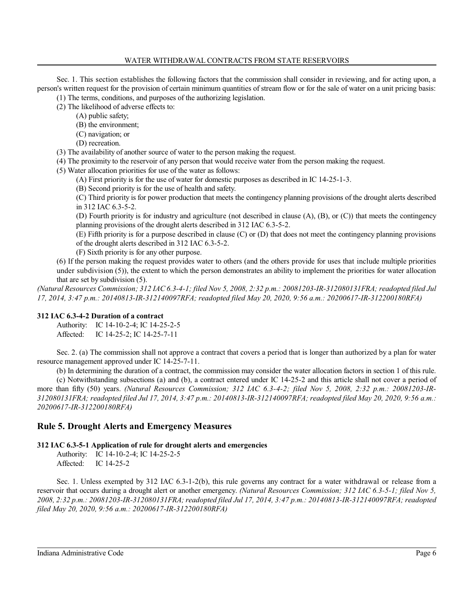#### WATER WITHDRAWAL CONTRACTS FROM STATE RESERVOIRS

Sec. 1. This section establishes the following factors that the commission shall consider in reviewing, and for acting upon, a person's written request for the provision of certain minimum quantities of stream flow or for the sale of water on a unit pricing basis: (1) The terms, conditions, and purposes of the authorizing legislation.

(2) The likelihood of adverse effects to:

- (A) public safety;
	- (B) the environment;
	- (C) navigation; or
- (D) recreation.
- (3) The availability of another source of water to the person making the request.
- (4) The proximity to the reservoir of any person that would receive water from the person making the request.
- (5) Water allocation priorities for use of the water as follows:
	- (A) First priority is for the use of water for domestic purposes as described in IC 14-25-1-3.
	- (B) Second priority is for the use of health and safety.

(C) Third priority is for power production that meets the contingency planning provisions of the drought alerts described in 312 IAC 6.3-5-2.

(D) Fourth priority is for industry and agriculture (not described in clause (A), (B), or (C)) that meets the contingency planning provisions of the drought alerts described in 312 IAC 6.3-5-2.

(E) Fifth priority is for a purpose described in clause (C) or (D) that does not meet the contingency planning provisions of the drought alerts described in 312 IAC 6.3-5-2.

(F) Sixth priority is for any other purpose.

(6) If the person making the request provides water to others (and the others provide for uses that include multiple priorities under subdivision (5)), the extent to which the person demonstrates an ability to implement the priorities for water allocation that are set by subdivision (5).

*(Natural Resources Commission; 312 IAC6.3-4-1; filed Nov 5, 2008, 2:32 p.m.: 20081203-IR-312080131FRA; readopted filed Jul 17, 2014, 3:47 p.m.: 20140813-IR-312140097RFA; readopted filed May 20, 2020, 9:56 a.m.: 20200617-IR-312200180RFA)*

#### **312 IAC 6.3-4-2 Duration of a contract**

Authority: IC 14-10-2-4; IC 14-25-2-5 Affected: IC 14-25-2; IC 14-25-7-11

Sec. 2. (a) The commission shall not approve a contract that covers a period that is longer than authorized by a plan for water resource management approved under IC 14-25-7-11.

(b) In determining the duration of a contract, the commission may consider the water allocation factors in section 1 of this rule.

(c) Notwithstanding subsections (a) and (b), a contract entered under IC 14-25-2 and this article shall not cover a period of more than fifty (50) years. *(Natural Resources Commission; 312 IAC 6.3-4-2; filed Nov 5, 2008, 2:32 p.m.: 20081203-IR-312080131FRA; readopted filed Jul 17, 2014, 3:47 p.m.: 20140813-IR-312140097RFA; readopted filed May 20, 2020, 9:56 a.m.: 20200617-IR-312200180RFA)*

### **Rule 5. Drought Alerts and Emergency Measures**

#### **312 IAC 6.3-5-1 Application of rule for drought alerts and emergencies**

Authority: IC 14-10-2-4; IC 14-25-2-5 Affected: IC 14-25-2

Sec. 1. Unless exempted by 312 IAC 6.3-1-2(b), this rule governs any contract for a water withdrawal or release from a reservoir that occurs during a drought alert or another emergency. *(Natural Resources Commission; 312 IAC 6.3-5-1; filed Nov 5, 2008, 2:32 p.m.: 20081203-IR-312080131FRA; readopted filed Jul 17, 2014, 3:47 p.m.: 20140813-IR-312140097RFA; readopted filed May 20, 2020, 9:56 a.m.: 20200617-IR-312200180RFA)*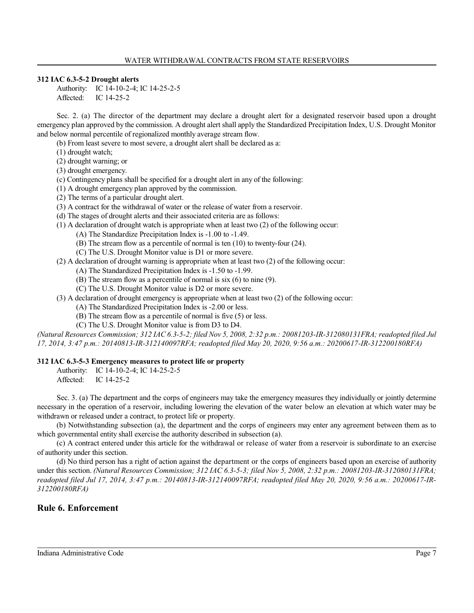#### **312 IAC 6.3-5-2 Drought alerts**

Authority: IC 14-10-2-4; IC 14-25-2-5 Affected: IC 14-25-2

Sec. 2. (a) The director of the department may declare a drought alert for a designated reservoir based upon a drought emergency plan approved by the commission. A drought alert shall apply the Standardized Precipitation Index, U.S. Drought Monitor and below normal percentile of regionalized monthly average stream flow.

- (b) From least severe to most severe, a drought alert shall be declared as a:
- (1) drought watch;
- (2) drought warning; or
- (3) drought emergency.
- (c) Contingency plans shall be specified for a drought alert in any of the following:
- (1) A drought emergency plan approved by the commission.
- (2) The terms of a particular drought alert.
- (3) A contract for the withdrawal of water or the release of water from a reservoir.
- (d) The stages of drought alerts and their associated criteria are as follows:
- (1) A declaration of drought watch is appropriate when at least two (2) of the following occur:
	- (A) The Standardize Precipitation Index is -1.00 to -1.49.
		- (B) The stream flow as a percentile of normal is ten (10) to twenty-four (24).
		- (C) The U.S. Drought Monitor value is D1 or more severe.
- (2) A declaration of drought warning is appropriate when at least two (2) of the following occur:
	- (A) The Standardized Precipitation Index is -1.50 to -1.99.
	- (B) The stream flow as a percentile of normal is six (6) to nine (9).
	- (C) The U.S. Drought Monitor value is D2 or more severe.
- (3) A declaration of drought emergency is appropriate when at least two (2) of the following occur:
	- (A) The Standardized Precipitation Index is -2.00 or less.
	- (B) The stream flow as a percentile of normal is five (5) or less.
	- (C) The U.S. Drought Monitor value is from D3 to D4.

*(Natural Resources Commission; 312 IAC6.3-5-2; filed Nov 5, 2008, 2:32 p.m.: 20081203-IR-312080131FRA; readopted filed Jul 17, 2014, 3:47 p.m.: 20140813-IR-312140097RFA; readopted filed May 20, 2020, 9:56 a.m.: 20200617-IR-312200180RFA)*

#### **312 IAC 6.3-5-3 Emergency measures to protect life or property**

Authority: IC 14-10-2-4; IC 14-25-2-5

Affected: IC 14-25-2

Sec. 3. (a) The department and the corps of engineers may take the emergency measures they individually or jointly determine necessary in the operation of a reservoir, including lowering the elevation of the water below an elevation at which water may be withdrawn or released under a contract, to protect life or property.

(b) Notwithstanding subsection (a), the department and the corps of engineers may enter any agreement between them as to which governmental entity shall exercise the authority described in subsection (a).

(c) A contract entered under this article for the withdrawal or release of water from a reservoir is subordinate to an exercise of authority under this section.

(d) No third person has a right of action against the department or the corps of engineers based upon an exercise of authority under this section. *(Natural Resources Commission; 312 IAC 6.3-5-3; filed Nov 5, 2008, 2:32 p.m.: 20081203-IR-312080131FRA; readopted filed Jul 17, 2014, 3:47 p.m.: 20140813-IR-312140097RFA; readopted filed May 20, 2020, 9:56 a.m.: 20200617-IR-312200180RFA)*

# **Rule 6. Enforcement**